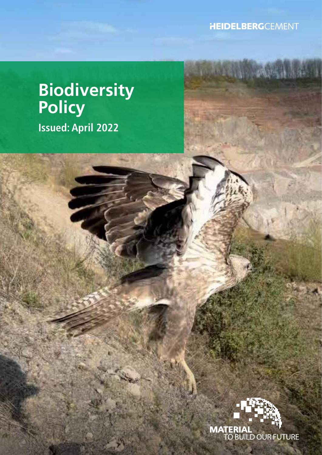**HEIDELBERG**CEMENT

**Letter Woodster** 

# **Biodiversity Policy Issued: April 2022**

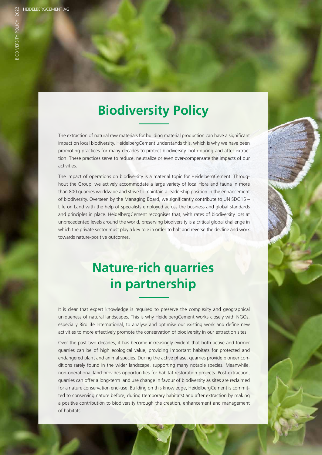## **Biodiversity Policy**

The extraction of natural raw materials for building material production can have a significant impact on local biodiversity. HeidelbergCement understands this, which is why we have been promoting practices for many decades to protect biodiversity, both during and after extraction. These practices serve to reduce, neutralize or even over-compensate the impacts of our activities.

The impact of operations on biodiversity is a material topic for HeidelbergCement. Throughout the Group, we actively accommodate a large variety of local flora and fauna in more than 800 quarries worldwide and strive to maintain a leadership position in the enhancement of biodiversity. Overseen by the Managing Board, we significantly contribute to UN SDG15 – Life on Land with the help of specialists employed across the business and global standards and principles in place. HeidelbergCement recognises that, with rates of biodiversity loss at unprecedented levels around the world, preserving biodiversity is a critical global challenge in which the private sector must play a key role in order to halt and reverse the decline and work towards nature-positive outcomes.

### **Nature-rich quarries in partnership**

It is clear that expert knowledge is required to preserve the complexity and geographical uniqueness of natural landscapes. This is why HeidelbergCement works closely with NGOs, especially BirdLife International, to analyse and optimise our existing work and define new activities to more effectively promote the conservation of biodiversity in our extraction sites.

Over the past two decades, it has become increasingly evident that both active and former quarries can be of high ecological value, providing important habitats for protected and endangered plant and animal species. During the active phase, quarries provide pioneer conditions rarely found in the wider landscape, supporting many notable species. Meanwhile, non-operational land provides opportunities for habitat restoration projects. Post-extraction, quarries can offer a long-term land use change in favour of biodiversity as sites are reclaimed for a nature conservation end-use. Building on this knowledge, HeidelbergCement is committed to conserving nature before, during (temporary habitats) and after extraction by making a positive contribution to biodiversity through the creation, enhancement and management of habitats.

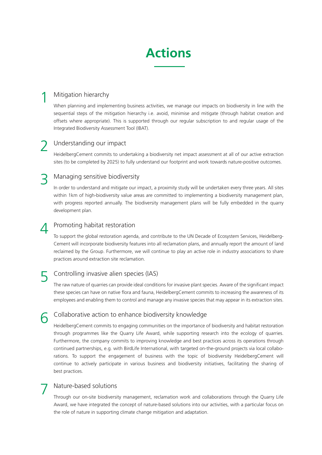### **Actions**

#### Mitigation hierarchy 1

When planning and implementing business activities, we manage our impacts on biodiversity in line with the sequential steps of the mitigation hierarchy i.e. avoid, minimise and mitigate (through habitat creation and offsets where appropriate). This is supported through our regular subscription to and regular usage of the Integrated Biodiversity Assessment Tool (IBAT).

#### Understanding our impact 2

HeidelbergCement commits to undertaking a biodiversity net impact assessment at all of our active extraction sites (to be completed by 2025) to fully understand our footprint and work towards nature-positive outcomes.

#### Managing sensitive biodiversity 3

In order to understand and mitigate our impact, a proximity study will be undertaken every three years. All sites within 1km of high-biodiversity value areas are committed to implementing a biodiversity management plan, with progress reported annually. The biodiversity management plans will be fully embedded in the quarry development plan.

#### Promoting habitat restoration 4

To support the global restoration agenda, and contribute to the UN Decade of Ecosystem Services, Heidelberg-Cement will incorporate biodiversity features into all reclamation plans, and annually report the amount of land reclaimed by the Group. Furthermore, we will continue to play an active role in industry associations to share practices around extraction site reclamation.

#### Controlling invasive alien species (IAS) 5

The raw nature of quarries can provide ideal conditions for invasive plant species. Aware of the significant impact these species can have on native flora and fauna, HeidelbergCement commits to increasing the awareness of its employees and enabling them to control and manage any invasive species that may appear in its extraction sites.

#### Collaborative action to enhance biodiversity knowledge 6

HeidelbergCement commits to engaging communities on the importance of biodiversity and habitat restoration through programmes like the Quarry Life Award, while supporting research into the ecology of quarries. Furthermore, the company commits to improving knowledge and best practices across its operations through continued partnerships, e.g. with BirdLife International, with targeted on-the-ground projects via local collaborations. To support the engagement of business with the topic of biodiversity HeidelbergCement will continue to actively participate in various business and biodiversity initiatives, facilitating the sharing of best practices.

#### Nature-based solutions 7

Through our on-site biodiversity management, reclamation work and collaborations through the Quarry Life Award, we have integrated the concept of nature-based solutions into our activities, with a particular focus on the role of nature in supporting climate change mitigation and adaptation.